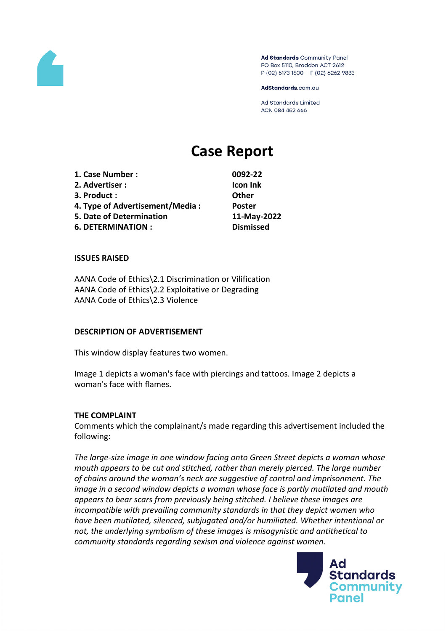

Ad Standards Community Panel PO Box 5110, Braddon ACT 2612 P (02) 6173 1500 | F (02) 6262 9833

AdStandards.com.au

**Ad Standards Limited** ACN 084 452 666

# **Case Report**

**1. Case Number : 0092-22 2. Advertiser : Icon Ink 3. Product : Other 4. Type of Advertisement/Media : Poster 5. Date of Determination 11-May-2022 6. DETERMINATION : Dismissed**

# **ISSUES RAISED**

AANA Code of Ethics\2.1 Discrimination or Vilification AANA Code of Ethics\2.2 Exploitative or Degrading AANA Code of Ethics\2.3 Violence

### **DESCRIPTION OF ADVERTISEMENT**

This window display features two women.

Image 1 depicts a woman's face with piercings and tattoos. Image 2 depicts a woman's face with flames.

# **THE COMPLAINT**

Comments which the complainant/s made regarding this advertisement included the following:

*The large-size image in one window facing onto Green Street depicts a woman whose mouth appears to be cut and stitched, rather than merely pierced. The large number of chains around the woman's neck are suggestive of control and imprisonment. The image in a second window depicts a woman whose face is partly mutilated and mouth appears to bear scars from previously being stitched. I believe these images are incompatible with prevailing community standards in that they depict women who have been mutilated, silenced, subjugated and/or humiliated. Whether intentional or not, the underlying symbolism of these images is misogynistic and antithetical to community standards regarding sexism and violence against women.*

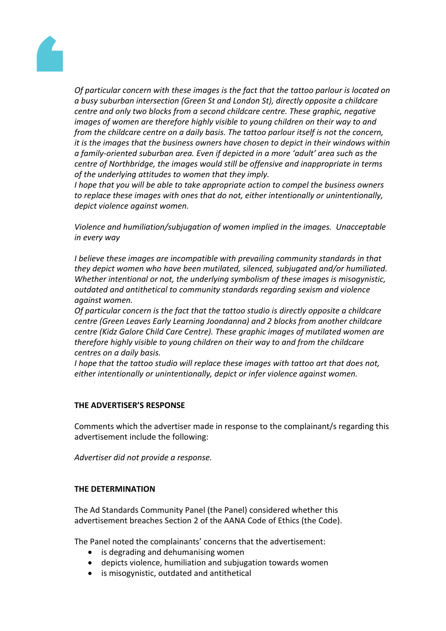

*Of particular concern with these images is the fact that the tattoo parlour is located on a busy suburban intersection (Green St and London St), directly opposite a childcare centre and only two blocks from a second childcare centre. These graphic, negative images of women are therefore highly visible to young children on their way to and from the childcare centre on a daily basis. The tattoo parlour itself is not the concern, it is the images that the business owners have chosen to depict in their windows within a family-oriented suburban area. Even if depicted in a more 'adult' area such as the centre of Northbridge, the images would still be offensive and inappropriate in terms of the underlying attitudes to women that they imply.*

*I hope that you will be able to take appropriate action to compel the business owners to replace these images with ones that do not, either intentionally or unintentionally, depict violence against women.*

*Violence and humiliation/subjugation of women implied in the images. Unacceptable in every way*

*I believe these images are incompatible with prevailing community standards in that they depict women who have been mutilated, silenced, subjugated and/or humiliated. Whether intentional or not, the underlying symbolism of these images is misogynistic, outdated and antithetical to community standards regarding sexism and violence against women.*

*Of particular concern is the fact that the tattoo studio is directly opposite a childcare centre (Green Leaves Early Learning Joondanna) and 2 blocks from another childcare centre (Kidz Galore Child Care Centre). These graphic images of mutilated women are therefore highly visible to young children on their way to and from the childcare centres on a daily basis.*

*I hope that the tattoo studio will replace these images with tattoo art that does not, either intentionally or unintentionally, depict or infer violence against women.*

# **THE ADVERTISER'S RESPONSE**

Comments which the advertiser made in response to the complainant/s regarding this advertisement include the following:

*Advertiser did not provide a response.*

# **THE DETERMINATION**

The Ad Standards Community Panel (the Panel) considered whether this advertisement breaches Section 2 of the AANA Code of Ethics (the Code).

The Panel noted the complainants' concerns that the advertisement:

- is degrading and dehumanising women
- depicts violence, humiliation and subjugation towards women
- is misogynistic, outdated and antithetical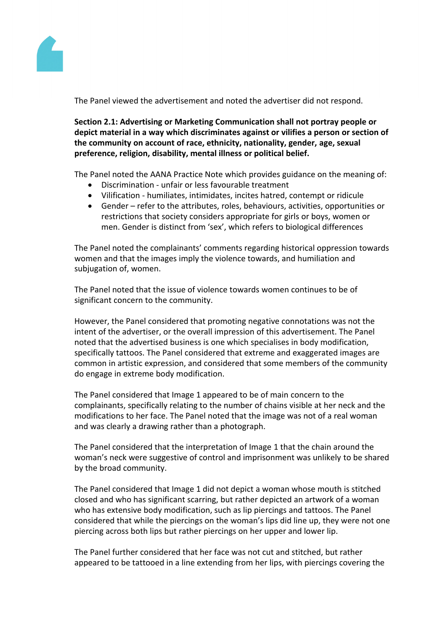

The Panel viewed the advertisement and noted the advertiser did not respond.

**Section 2.1: Advertising or Marketing Communication shall not portray people or depict material in a way which discriminates against or vilifies a person or section of the community on account of race, ethnicity, nationality, gender, age, sexual preference, religion, disability, mental illness or political belief.**

The Panel noted the AANA Practice Note which provides guidance on the meaning of:

- Discrimination unfair or less favourable treatment
- Vilification humiliates, intimidates, incites hatred, contempt or ridicule
- Gender refer to the attributes, roles, behaviours, activities, opportunities or restrictions that society considers appropriate for girls or boys, women or men. Gender is distinct from 'sex', which refers to biological differences

The Panel noted the complainants' comments regarding historical oppression towards women and that the images imply the violence towards, and humiliation and subjugation of, women.

The Panel noted that the issue of violence towards women continues to be of significant concern to the community.

However, the Panel considered that promoting negative connotations was not the intent of the advertiser, or the overall impression of this advertisement. The Panel noted that the advertised business is one which specialises in body modification, specifically tattoos. The Panel considered that extreme and exaggerated images are common in artistic expression, and considered that some members of the community do engage in extreme body modification.

The Panel considered that Image 1 appeared to be of main concern to the complainants, specifically relating to the number of chains visible at her neck and the modifications to her face. The Panel noted that the image was not of a real woman and was clearly a drawing rather than a photograph.

The Panel considered that the interpretation of Image 1 that the chain around the woman's neck were suggestive of control and imprisonment was unlikely to be shared by the broad community.

The Panel considered that Image 1 did not depict a woman whose mouth is stitched closed and who has significant scarring, but rather depicted an artwork of a woman who has extensive body modification, such as lip piercings and tattoos. The Panel considered that while the piercings on the woman's lips did line up, they were not one piercing across both lips but rather piercings on her upper and lower lip.

The Panel further considered that her face was not cut and stitched, but rather appeared to be tattooed in a line extending from her lips, with piercings covering the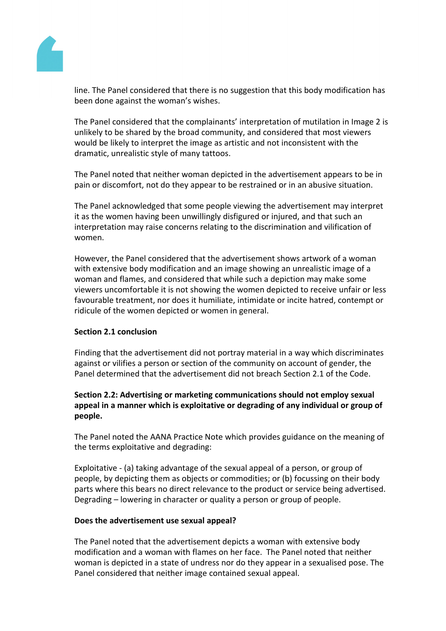

line. The Panel considered that there is no suggestion that this body modification has been done against the woman's wishes.

The Panel considered that the complainants' interpretation of mutilation in Image 2 is unlikely to be shared by the broad community, and considered that most viewers would be likely to interpret the image as artistic and not inconsistent with the dramatic, unrealistic style of many tattoos.

The Panel noted that neither woman depicted in the advertisement appears to be in pain or discomfort, not do they appear to be restrained or in an abusive situation.

The Panel acknowledged that some people viewing the advertisement may interpret it as the women having been unwillingly disfigured or injured, and that such an interpretation may raise concerns relating to the discrimination and vilification of women.

However, the Panel considered that the advertisement shows artwork of a woman with extensive body modification and an image showing an unrealistic image of a woman and flames, and considered that while such a depiction may make some viewers uncomfortable it is not showing the women depicted to receive unfair or less favourable treatment, nor does it humiliate, intimidate or incite hatred, contempt or ridicule of the women depicted or women in general.

# **Section 2.1 conclusion**

Finding that the advertisement did not portray material in a way which discriminates against or vilifies a person or section of the community on account of gender, the Panel determined that the advertisement did not breach Section 2.1 of the Code.

# **Section 2.2: Advertising or marketing communications should not employ sexual appeal in a manner which is exploitative or degrading of any individual or group of people.**

The Panel noted the AANA Practice Note which provides guidance on the meaning of the terms exploitative and degrading:

Exploitative - (a) taking advantage of the sexual appeal of a person, or group of people, by depicting them as objects or commodities; or (b) focussing on their body parts where this bears no direct relevance to the product or service being advertised. Degrading – lowering in character or quality a person or group of people.

# **Does the advertisement use sexual appeal?**

The Panel noted that the advertisement depicts a woman with extensive body modification and a woman with flames on her face. The Panel noted that neither woman is depicted in a state of undress nor do they appear in a sexualised pose. The Panel considered that neither image contained sexual appeal.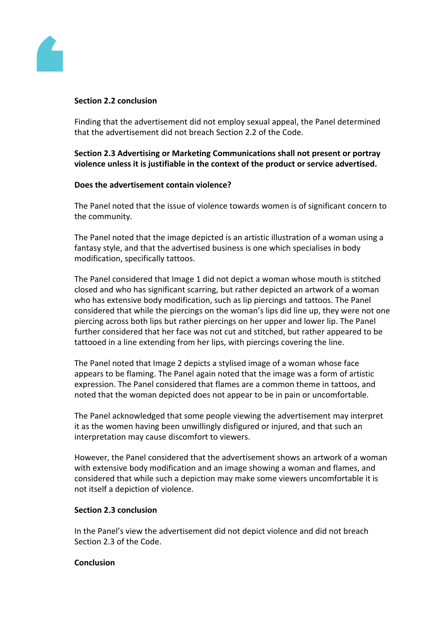

## **Section 2.2 conclusion**

Finding that the advertisement did not employ sexual appeal, the Panel determined that the advertisement did not breach Section 2.2 of the Code.

**Section 2.3 Advertising or Marketing Communications shall not present or portray violence unless it is justifiable in the context of the product or service advertised.**

## **Does the advertisement contain violence?**

The Panel noted that the issue of violence towards women is of significant concern to the community.

The Panel noted that the image depicted is an artistic illustration of a woman using a fantasy style, and that the advertised business is one which specialises in body modification, specifically tattoos.

The Panel considered that Image 1 did not depict a woman whose mouth is stitched closed and who has significant scarring, but rather depicted an artwork of a woman who has extensive body modification, such as lip piercings and tattoos. The Panel considered that while the piercings on the woman's lips did line up, they were not one piercing across both lips but rather piercings on her upper and lower lip. The Panel further considered that her face was not cut and stitched, but rather appeared to be tattooed in a line extending from her lips, with piercings covering the line.

The Panel noted that Image 2 depicts a stylised image of a woman whose face appears to be flaming. The Panel again noted that the image was a form of artistic expression. The Panel considered that flames are a common theme in tattoos, and noted that the woman depicted does not appear to be in pain or uncomfortable.

The Panel acknowledged that some people viewing the advertisement may interpret it as the women having been unwillingly disfigured or injured, and that such an interpretation may cause discomfort to viewers.

However, the Panel considered that the advertisement shows an artwork of a woman with extensive body modification and an image showing a woman and flames, and considered that while such a depiction may make some viewers uncomfortable it is not itself a depiction of violence.

# **Section 2.3 conclusion**

In the Panel's view the advertisement did not depict violence and did not breach Section 2.3 of the Code.

### **Conclusion**